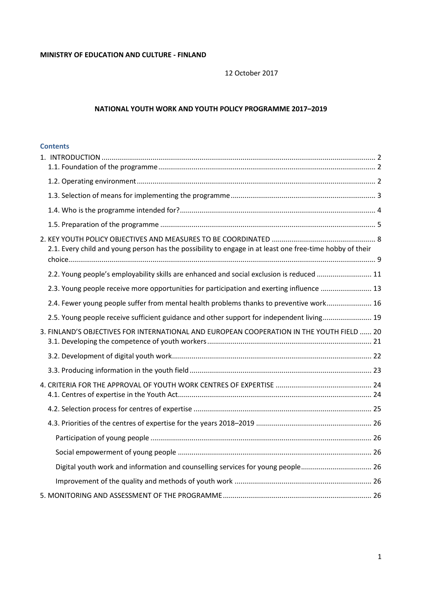12 October 2017

## **NATIONAL YOUTH WORK AND YOUTH POLICY PROGRAMME 2017–2019**

### **Contents**

| 2.1. Every child and young person has the possibility to engage in at least one free-time hobby of their |  |
|----------------------------------------------------------------------------------------------------------|--|
| 2.2. Young people's employability skills are enhanced and social exclusion is reduced  11                |  |
| 2.3. Young people receive more opportunities for participation and exerting influence  13                |  |
| 2.4. Fewer young people suffer from mental health problems thanks to preventive work 16                  |  |
| 2.5. Young people receive sufficient guidance and other support for independent living 19                |  |
| 3. FINLAND'S OBJECTIVES FOR INTERNATIONAL AND EUROPEAN COOPERATION IN THE YOUTH FIELD  20                |  |
|                                                                                                          |  |
|                                                                                                          |  |
|                                                                                                          |  |
|                                                                                                          |  |
|                                                                                                          |  |
|                                                                                                          |  |
|                                                                                                          |  |
|                                                                                                          |  |
|                                                                                                          |  |
|                                                                                                          |  |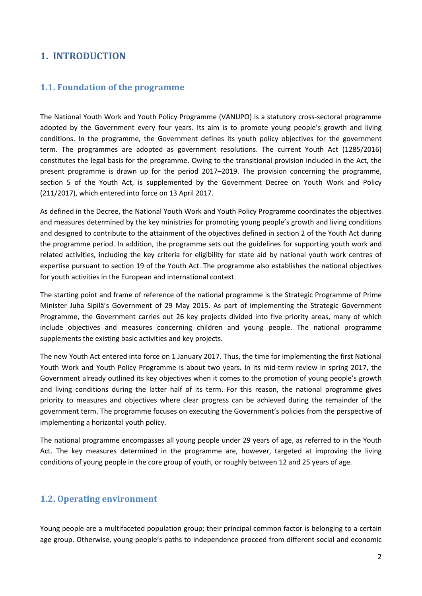# <span id="page-1-0"></span>**1. INTRODUCTION**

## <span id="page-1-1"></span>**1.1. Foundation of the programme**

The National Youth Work and Youth Policy Programme (VANUPO) is a statutory cross-sectoral programme adopted by the Government every four years. Its aim is to promote young people's growth and living conditions. In the programme, the Government defines its youth policy objectives for the government term. The programmes are adopted as government resolutions. The current Youth Act (1285/2016) constitutes the legal basis for the programme. Owing to the transitional provision included in the Act, the present programme is drawn up for the period 2017–2019. The provision concerning the programme, section 5 of the Youth Act, is supplemented by the Government Decree on Youth Work and Policy (211/2017), which entered into force on 13 April 2017.

As defined in the Decree, the National Youth Work and Youth Policy Programme coordinates the objectives and measures determined by the key ministries for promoting young people's growth and living conditions and designed to contribute to the attainment of the objectives defined in section 2 of the Youth Act during the programme period. In addition, the programme sets out the guidelines for supporting youth work and related activities, including the key criteria for eligibility for state aid by national youth work centres of expertise pursuant to section 19 of the Youth Act. The programme also establishes the national objectives for youth activities in the European and international context.

The starting point and frame of reference of the national programme is the Strategic Programme of Prime Minister Juha Sipilä's Government of 29 May 2015. As part of implementing the Strategic Government Programme, the Government carries out 26 key projects divided into five priority areas, many of which include objectives and measures concerning children and young people. The national programme supplements the existing basic activities and key projects.

The new Youth Act entered into force on 1 January 2017. Thus, the time for implementing the first National Youth Work and Youth Policy Programme is about two years. In its mid-term review in spring 2017, the Government already outlined its key objectives when it comes to the promotion of young people's growth and living conditions during the latter half of its term. For this reason, the national programme gives priority to measures and objectives where clear progress can be achieved during the remainder of the government term. The programme focuses on executing the Government's policies from the perspective of implementing a horizontal youth policy.

The national programme encompasses all young people under 29 years of age, as referred to in the Youth Act. The key measures determined in the programme are, however, targeted at improving the living conditions of young people in the core group of youth, or roughly between 12 and 25 years of age.

## <span id="page-1-2"></span>**1.2. Operating environment**

Young people are a multifaceted population group; their principal common factor is belonging to a certain age group. Otherwise, young people's paths to independence proceed from different social and economic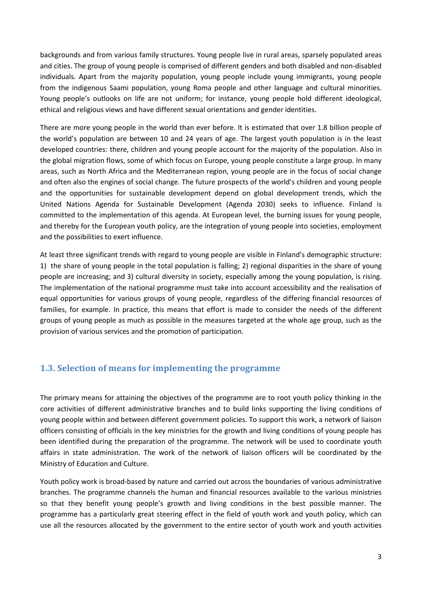backgrounds and from various family structures. Young people live in rural areas, sparsely populated areas and cities. The group of young people is comprised of different genders and both disabled and non-disabled individuals. Apart from the majority population, young people include young immigrants, young people from the indigenous Saami population, young Roma people and other language and cultural minorities. Young people's outlooks on life are not uniform; for instance, young people hold different ideological, ethical and religious views and have different sexual orientations and gender identities.

There are more young people in the world than ever before. It is estimated that over 1.8 billion people of the world's population are between 10 and 24 years of age. The largest youth population is in the least developed countries: there, children and young people account for the majority of the population. Also in the global migration flows, some of which focus on Europe, young people constitute a large group. In many areas, such as North Africa and the Mediterranean region, young people are in the focus of social change and often also the engines of social change. The future prospects of the world's children and young people and the opportunities for sustainable development depend on global development trends, which the United Nations Agenda for Sustainable Development (Agenda 2030) seeks to influence. Finland is committed to the implementation of this agenda. At European level, the burning issues for young people, and thereby for the European youth policy, are the integration of young people into societies, employment and the possibilities to exert influence.

At least three significant trends with regard to young people are visible in Finland's demographic structure: 1) the share of young people in the total population is falling; 2) regional disparities in the share of young people are increasing; and 3) cultural diversity in society, especially among the young population, is rising. The implementation of the national programme must take into account accessibility and the realisation of equal opportunities for various groups of young people, regardless of the differing financial resources of families, for example. In practice, this means that effort is made to consider the needs of the different groups of young people as much as possible in the measures targeted at the whole age group, such as the provision of various services and the promotion of participation.

# <span id="page-2-0"></span>**1.3. Selection of means for implementing the programme**

The primary means for attaining the objectives of the programme are to root youth policy thinking in the core activities of different administrative branches and to build links supporting the living conditions of young people within and between different government policies. To support this work, a network of liaison officers consisting of officials in the key ministries for the growth and living conditions of young people has been identified during the preparation of the programme. The network will be used to coordinate youth affairs in state administration. The work of the network of liaison officers will be coordinated by the Ministry of Education and Culture.

Youth policy work is broad-based by nature and carried out across the boundaries of various administrative branches. The programme channels the human and financial resources available to the various ministries so that they benefit young people's growth and living conditions in the best possible manner. The programme has a particularly great steering effect in the field of youth work and youth policy, which can use all the resources allocated by the government to the entire sector of youth work and youth activities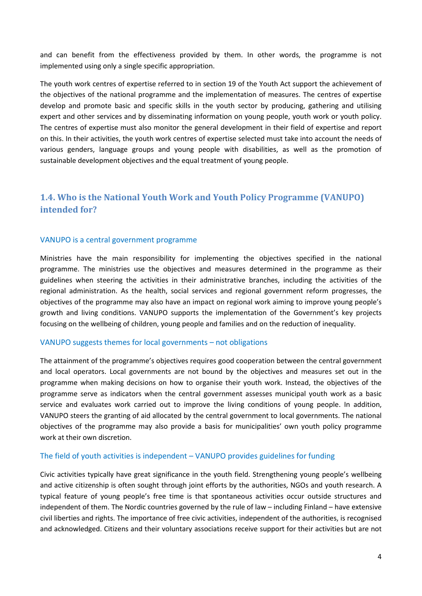and can benefit from the effectiveness provided by them. In other words, the programme is not implemented using only a single specific appropriation.

The youth work centres of expertise referred to in section 19 of the Youth Act support the achievement of the objectives of the national programme and the implementation of measures. The centres of expertise develop and promote basic and specific skills in the youth sector by producing, gathering and utilising expert and other services and by disseminating information on young people, youth work or youth policy. The centres of expertise must also monitor the general development in their field of expertise and report on this. In their activities, the youth work centres of expertise selected must take into account the needs of various genders, language groups and young people with disabilities, as well as the promotion of sustainable development objectives and the equal treatment of young people.

# <span id="page-3-0"></span>**1.4. Who is the National Youth Work and Youth Policy Programme (VANUPO) intended for?**

#### VANUPO is a central government programme

Ministries have the main responsibility for implementing the objectives specified in the national programme. The ministries use the objectives and measures determined in the programme as their guidelines when steering the activities in their administrative branches, including the activities of the regional administration. As the health, social services and regional government reform progresses, the objectives of the programme may also have an impact on regional work aiming to improve young people's growth and living conditions. VANUPO supports the implementation of the Government's key projects focusing on the wellbeing of children, young people and families and on the reduction of inequality.

#### VANUPO suggests themes for local governments – not obligations

The attainment of the programme's objectives requires good cooperation between the central government and local operators. Local governments are not bound by the objectives and measures set out in the programme when making decisions on how to organise their youth work. Instead, the objectives of the programme serve as indicators when the central government assesses municipal youth work as a basic service and evaluates work carried out to improve the living conditions of young people. In addition, VANUPO steers the granting of aid allocated by the central government to local governments. The national objectives of the programme may also provide a basis for municipalities' own youth policy programme work at their own discretion.

### The field of youth activities is independent – VANUPO provides guidelines for funding

Civic activities typically have great significance in the youth field. Strengthening young people's wellbeing and active citizenship is often sought through joint efforts by the authorities, NGOs and youth research. A typical feature of young people's free time is that spontaneous activities occur outside structures and independent of them. The Nordic countries governed by the rule of law – including Finland – have extensive civil liberties and rights. The importance of free civic activities, independent of the authorities, is recognised and acknowledged. Citizens and their voluntary associations receive support for their activities but are not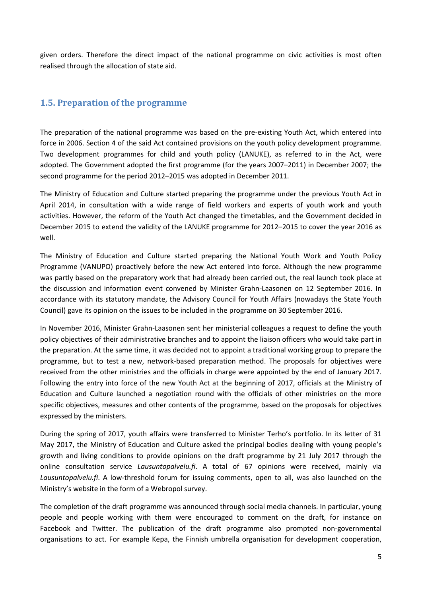given orders. Therefore the direct impact of the national programme on civic activities is most often realised through the allocation of state aid.

# <span id="page-4-0"></span>**1.5. Preparation of the programme**

The preparation of the national programme was based on the pre-existing Youth Act, which entered into force in 2006. Section 4 of the said Act contained provisions on the youth policy development programme. Two development programmes for child and youth policy (LANUKE), as referred to in the Act, were adopted. The Government adopted the first programme (for the years 2007–2011) in December 2007; the second programme for the period 2012–2015 was adopted in December 2011.

The Ministry of Education and Culture started preparing the programme under the previous Youth Act in April 2014, in consultation with a wide range of field workers and experts of youth work and youth activities. However, the reform of the Youth Act changed the timetables, and the Government decided in December 2015 to extend the validity of the LANUKE programme for 2012–2015 to cover the year 2016 as well.

The Ministry of Education and Culture started preparing the National Youth Work and Youth Policy Programme (VANUPO) proactively before the new Act entered into force. Although the new programme was partly based on the preparatory work that had already been carried out, the real launch took place at the discussion and information event convened by Minister Grahn-Laasonen on 12 September 2016. In accordance with its statutory mandate, the Advisory Council for Youth Affairs (nowadays the State Youth Council) gave its opinion on the issues to be included in the programme on 30 September 2016.

In November 2016, Minister Grahn-Laasonen sent her ministerial colleagues a request to define the youth policy objectives of their administrative branches and to appoint the liaison officers who would take part in the preparation. At the same time, it was decided not to appoint a traditional working group to prepare the programme, but to test a new, network-based preparation method. The proposals for objectives were received from the other ministries and the officials in charge were appointed by the end of January 2017. Following the entry into force of the new Youth Act at the beginning of 2017, officials at the Ministry of Education and Culture launched a negotiation round with the officials of other ministries on the more specific objectives, measures and other contents of the programme, based on the proposals for objectives expressed by the ministers.

During the spring of 2017, youth affairs were transferred to Minister Terho's portfolio. In its letter of 31 May 2017, the Ministry of Education and Culture asked the principal bodies dealing with young people's growth and living conditions to provide opinions on the draft programme by 21 July 2017 through the online consultation service *Lausuntopalvelu.fi*. A total of 67 opinions were received, mainly via *Lausuntopalvelu.fi*. A low-threshold forum for issuing comments, open to all, was also launched on the Ministry's website in the form of a Webropol survey.

The completion of the draft programme was announced through social media channels. In particular, young people and people working with them were encouraged to comment on the draft, for instance on Facebook and Twitter. The publication of the draft programme also prompted non-governmental organisations to act. For example Kepa, the Finnish umbrella organisation for development cooperation,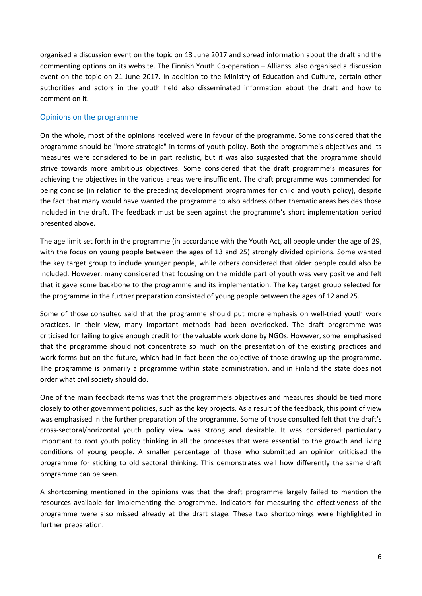organised a discussion event on the topic on 13 June 2017 and spread information about the draft and the commenting options on its website. The Finnish Youth Co-operation – Allianssi also organised a discussion event on the topic on 21 June 2017. In addition to the Ministry of Education and Culture, certain other authorities and actors in the youth field also disseminated information about the draft and how to comment on it.

### Opinions on the programme

On the whole, most of the opinions received were in favour of the programme. Some considered that the programme should be "more strategic" in terms of youth policy. Both the programme's objectives and its measures were considered to be in part realistic, but it was also suggested that the programme should strive towards more ambitious objectives. Some considered that the draft programme's measures for achieving the objectives in the various areas were insufficient. The draft programme was commended for being concise (in relation to the preceding development programmes for child and youth policy), despite the fact that many would have wanted the programme to also address other thematic areas besides those included in the draft. The feedback must be seen against the programme's short implementation period presented above.

The age limit set forth in the programme (in accordance with the Youth Act, all people under the age of 29, with the focus on young people between the ages of 13 and 25) strongly divided opinions. Some wanted the key target group to include younger people, while others considered that older people could also be included. However, many considered that focusing on the middle part of youth was very positive and felt that it gave some backbone to the programme and its implementation. The key target group selected for the programme in the further preparation consisted of young people between the ages of 12 and 25.

Some of those consulted said that the programme should put more emphasis on well-tried youth work practices. In their view, many important methods had been overlooked. The draft programme was criticised for failing to give enough credit for the valuable work done by NGOs. However, some emphasised that the programme should not concentrate so much on the presentation of the existing practices and work forms but on the future, which had in fact been the objective of those drawing up the programme. The programme is primarily a programme within state administration, and in Finland the state does not order what civil society should do.

One of the main feedback items was that the programme's objectives and measures should be tied more closely to other government policies, such as the key projects. As a result of the feedback, this point of view was emphasised in the further preparation of the programme. Some of those consulted felt that the draft's cross-sectoral/horizontal youth policy view was strong and desirable. It was considered particularly important to root youth policy thinking in all the processes that were essential to the growth and living conditions of young people. A smaller percentage of those who submitted an opinion criticised the programme for sticking to old sectoral thinking. This demonstrates well how differently the same draft programme can be seen.

A shortcoming mentioned in the opinions was that the draft programme largely failed to mention the resources available for implementing the programme. Indicators for measuring the effectiveness of the programme were also missed already at the draft stage. These two shortcomings were highlighted in further preparation.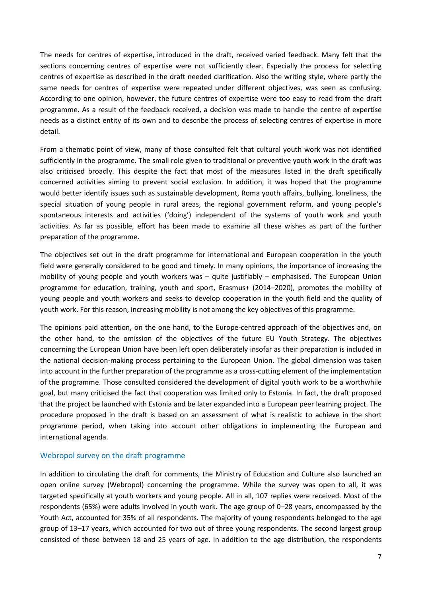The needs for centres of expertise, introduced in the draft, received varied feedback. Many felt that the sections concerning centres of expertise were not sufficiently clear. Especially the process for selecting centres of expertise as described in the draft needed clarification. Also the writing style, where partly the same needs for centres of expertise were repeated under different objectives, was seen as confusing. According to one opinion, however, the future centres of expertise were too easy to read from the draft programme. As a result of the feedback received, a decision was made to handle the centre of expertise needs as a distinct entity of its own and to describe the process of selecting centres of expertise in more detail.

From a thematic point of view, many of those consulted felt that cultural youth work was not identified sufficiently in the programme. The small role given to traditional or preventive youth work in the draft was also criticised broadly. This despite the fact that most of the measures listed in the draft specifically concerned activities aiming to prevent social exclusion. In addition, it was hoped that the programme would better identify issues such as sustainable development, Roma youth affairs, bullying, loneliness, the special situation of young people in rural areas, the regional government reform, and young people's spontaneous interests and activities ('doing') independent of the systems of youth work and youth activities. As far as possible, effort has been made to examine all these wishes as part of the further preparation of the programme.

The objectives set out in the draft programme for international and European cooperation in the youth field were generally considered to be good and timely. In many opinions, the importance of increasing the mobility of young people and youth workers was – quite justifiably – emphasised. The European Union programme for education, training, youth and sport, Erasmus+ (2014–2020), promotes the mobility of young people and youth workers and seeks to develop cooperation in the youth field and the quality of youth work. For this reason, increasing mobility is not among the key objectives of this programme.

The opinions paid attention, on the one hand, to the Europe-centred approach of the objectives and, on the other hand, to the omission of the objectives of the future EU Youth Strategy. The objectives concerning the European Union have been left open deliberately insofar as their preparation is included in the national decision-making process pertaining to the European Union. The global dimension was taken into account in the further preparation of the programme as a cross-cutting element of the implementation of the programme. Those consulted considered the development of digital youth work to be a worthwhile goal, but many criticised the fact that cooperation was limited only to Estonia. In fact, the draft proposed that the project be launched with Estonia and be later expanded into a European peer learning project. The procedure proposed in the draft is based on an assessment of what is realistic to achieve in the short programme period, when taking into account other obligations in implementing the European and international agenda.

#### Webropol survey on the draft programme

In addition to circulating the draft for comments, the Ministry of Education and Culture also launched an open online survey (Webropol) concerning the programme. While the survey was open to all, it was targeted specifically at youth workers and young people. All in all, 107 replies were received. Most of the respondents (65%) were adults involved in youth work. The age group of 0–28 years, encompassed by the Youth Act, accounted for 35% of all respondents. The majority of young respondents belonged to the age group of 13–17 years, which accounted for two out of three young respondents. The second largest group consisted of those between 18 and 25 years of age. In addition to the age distribution, the respondents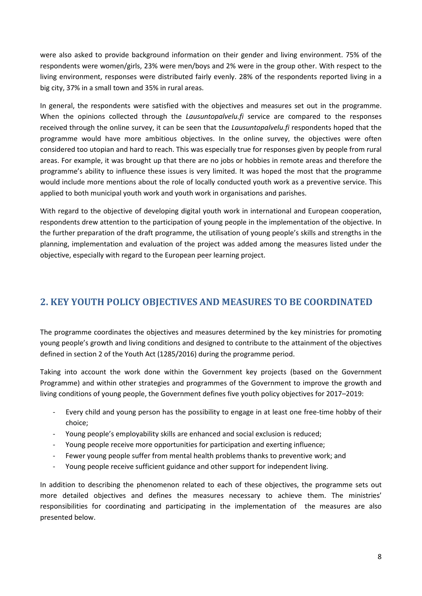were also asked to provide background information on their gender and living environment. 75% of the respondents were women/girls, 23% were men/boys and 2% were in the group other. With respect to the living environment, responses were distributed fairly evenly. 28% of the respondents reported living in a big city, 37% in a small town and 35% in rural areas.

In general, the respondents were satisfied with the objectives and measures set out in the programme. When the opinions collected through the *Lausuntopalvelu.fi* service are compared to the responses received through the online survey, it can be seen that the *Lausuntopalvelu.fi* respondents hoped that the programme would have more ambitious objectives. In the online survey, the objectives were often considered too utopian and hard to reach. This was especially true for responses given by people from rural areas. For example, it was brought up that there are no jobs or hobbies in remote areas and therefore the programme's ability to influence these issues is very limited. It was hoped the most that the programme would include more mentions about the role of locally conducted youth work as a preventive service. This applied to both municipal youth work and youth work in organisations and parishes.

With regard to the objective of developing digital youth work in international and European cooperation, respondents drew attention to the participation of young people in the implementation of the objective. In the further preparation of the draft programme, the utilisation of young people's skills and strengths in the planning, implementation and evaluation of the project was added among the measures listed under the objective, especially with regard to the European peer learning project.

# <span id="page-7-0"></span>**2. KEY YOUTH POLICY OBJECTIVES AND MEASURES TO BE COORDINATED**

The programme coordinates the objectives and measures determined by the key ministries for promoting young people's growth and living conditions and designed to contribute to the attainment of the objectives defined in section 2 of the Youth Act (1285/2016) during the programme period.

Taking into account the work done within the Government key projects (based on the Government Programme) and within other strategies and programmes of the Government to improve the growth and living conditions of young people, the Government defines five youth policy objectives for 2017–2019:

- Every child and young person has the possibility to engage in at least one free-time hobby of their choice;
- Young people's employability skills are enhanced and social exclusion is reduced;
- Young people receive more opportunities for participation and exerting influence;
- Fewer young people suffer from mental health problems thanks to preventive work; and
- Young people receive sufficient guidance and other support for independent living.

In addition to describing the phenomenon related to each of these objectives, the programme sets out more detailed objectives and defines the measures necessary to achieve them. The ministries' responsibilities for coordinating and participating in the implementation of the measures are also presented below.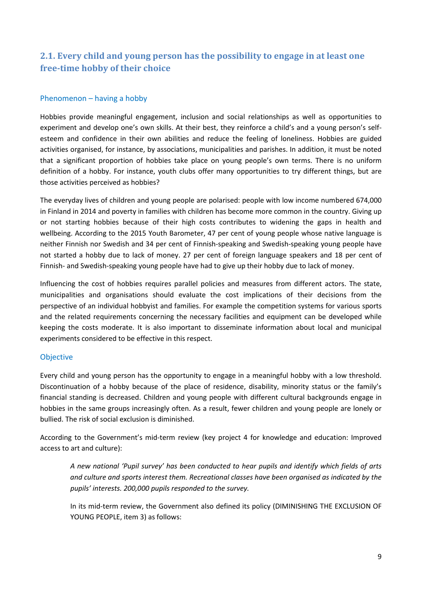# <span id="page-8-0"></span>**2.1. Every child and young person has the possibility to engage in at least one free-time hobby of their choice**

### Phenomenon – having a hobby

Hobbies provide meaningful engagement, inclusion and social relationships as well as opportunities to experiment and develop one's own skills. At their best, they reinforce a child's and a young person's selfesteem and confidence in their own abilities and reduce the feeling of loneliness. Hobbies are guided activities organised, for instance, by associations, municipalities and parishes. In addition, it must be noted that a significant proportion of hobbies take place on young people's own terms. There is no uniform definition of a hobby. For instance, youth clubs offer many opportunities to try different things, but are those activities perceived as hobbies?

The everyday lives of children and young people are polarised: people with low income numbered 674,000 in Finland in 2014 and poverty in families with children has become more common in the country. Giving up or not starting hobbies because of their high costs contributes to widening the gaps in health and wellbeing. According to the 2015 Youth Barometer, 47 per cent of young people whose native language is neither Finnish nor Swedish and 34 per cent of Finnish-speaking and Swedish-speaking young people have not started a hobby due to lack of money. 27 per cent of foreign language speakers and 18 per cent of Finnish- and Swedish-speaking young people have had to give up their hobby due to lack of money.

Influencing the cost of hobbies requires parallel policies and measures from different actors. The state, municipalities and organisations should evaluate the cost implications of their decisions from the perspective of an individual hobbyist and families. For example the competition systems for various sports and the related requirements concerning the necessary facilities and equipment can be developed while keeping the costs moderate. It is also important to disseminate information about local and municipal experiments considered to be effective in this respect.

### **Objective**

Every child and young person has the opportunity to engage in a meaningful hobby with a low threshold. Discontinuation of a hobby because of the place of residence, disability, minority status or the family's financial standing is decreased. Children and young people with different cultural backgrounds engage in hobbies in the same groups increasingly often. As a result, fewer children and young people are lonely or bullied. The risk of social exclusion is diminished.

According to the Government's mid-term review (key project 4 for knowledge and education: Improved access to art and culture):

*A new national 'Pupil survey' has been conducted to hear pupils and identify which fields of arts and culture and sports interest them. Recreational classes have been organised as indicated by the pupils' interests. 200,000 pupils responded to the survey.*

In its mid-term review, the Government also defined its policy (DIMINISHING THE EXCLUSION OF YOUNG PEOPLE, item 3) as follows: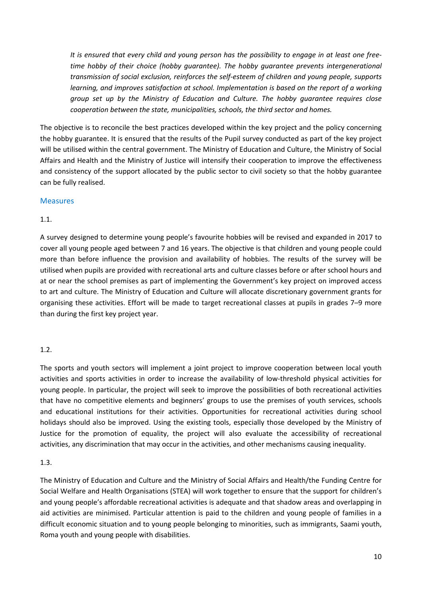*It is ensured that every child and young person has the possibility to engage in at least one freetime hobby of their choice (hobby guarantee). The hobby guarantee prevents intergenerational transmission of social exclusion, reinforces the self-esteem of children and young people, supports learning, and improves satisfaction at school. Implementation is based on the report of a working group set up by the Ministry of Education and Culture. The hobby guarantee requires close cooperation between the state, municipalities, schools, the third sector and homes.*

The objective is to reconcile the best practices developed within the key project and the policy concerning the hobby guarantee. It is ensured that the results of the Pupil survey conducted as part of the key project will be utilised within the central government. The Ministry of Education and Culture, the Ministry of Social Affairs and Health and the Ministry of Justice will intensify their cooperation to improve the effectiveness and consistency of the support allocated by the public sector to civil society so that the hobby guarantee can be fully realised.

#### Measures

### 1.1.

A survey designed to determine young people's favourite hobbies will be revised and expanded in 2017 to cover all young people aged between 7 and 16 years. The objective is that children and young people could more than before influence the provision and availability of hobbies. The results of the survey will be utilised when pupils are provided with recreational arts and culture classes before or after school hours and at or near the school premises as part of implementing the Government's key project on improved access to art and culture. The Ministry of Education and Culture will allocate discretionary government grants for organising these activities. Effort will be made to target recreational classes at pupils in grades 7–9 more than during the first key project year.

### 1.2.

The sports and youth sectors will implement a joint project to improve cooperation between local youth activities and sports activities in order to increase the availability of low-threshold physical activities for young people. In particular, the project will seek to improve the possibilities of both recreational activities that have no competitive elements and beginners' groups to use the premises of youth services, schools and educational institutions for their activities. Opportunities for recreational activities during school holidays should also be improved. Using the existing tools, especially those developed by the Ministry of Justice for the promotion of equality, the project will also evaluate the accessibility of recreational activities, any discrimination that may occur in the activities, and other mechanisms causing inequality.

### 1.3.

The Ministry of Education and Culture and the Ministry of Social Affairs and Health/the Funding Centre for Social Welfare and Health Organisations (STEA) will work together to ensure that the support for children's and young people's affordable recreational activities is adequate and that shadow areas and overlapping in aid activities are minimised. Particular attention is paid to the children and young people of families in a difficult economic situation and to young people belonging to minorities, such as immigrants, Saami youth, Roma youth and young people with disabilities.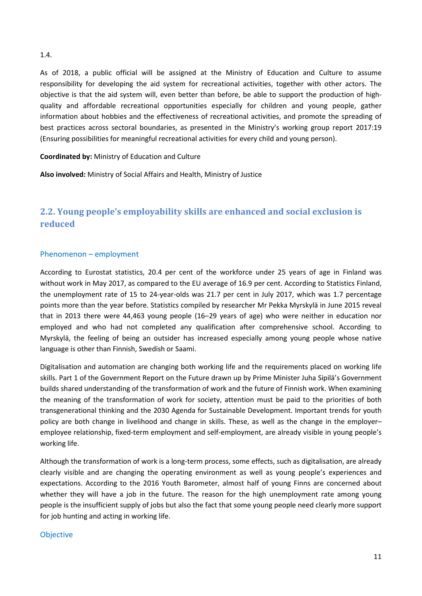#### 1.4.

As of 2018, a public official will be assigned at the Ministry of Education and Culture to assume responsibility for developing the aid system for recreational activities, together with other actors. The objective is that the aid system will, even better than before, be able to support the production of highquality and affordable recreational opportunities especially for children and young people, gather information about hobbies and the effectiveness of recreational activities, and promote the spreading of best practices across sectoral boundaries, as presented in the Ministry's working group report 2017:19 (Ensuring possibilities for meaningful recreational activities for every child and young person).

#### **Coordinated by:** Ministry of Education and Culture

**Also involved:** Ministry of Social Affairs and Health, Ministry of Justice

# <span id="page-10-0"></span>**2.2. Young people's employability skills are enhanced and social exclusion is reduced**

#### Phenomenon – employment

According to Eurostat statistics, 20.4 per cent of the workforce under 25 years of age in Finland was without work in May 2017, as compared to the EU average of 16.9 per cent. According to Statistics Finland, the unemployment rate of 15 to 24-year-olds was 21.7 per cent in July 2017, which was 1.7 percentage points more than the year before. Statistics compiled by researcher Mr Pekka Myrskylä in June 2015 reveal that in 2013 there were 44,463 young people (16–29 years of age) who were neither in education nor employed and who had not completed any qualification after comprehensive school. According to Myrskylä, the feeling of being an outsider has increased especially among young people whose native language is other than Finnish, Swedish or Saami.

Digitalisation and automation are changing both working life and the requirements placed on working life skills. Part 1 of the Government Report on the Future drawn up by Prime Minister Juha Sipilä's Government builds shared understanding of the transformation of work and the future of Finnish work. When examining the meaning of the transformation of work for society, attention must be paid to the priorities of both transgenerational thinking and the 2030 Agenda for Sustainable Development. Important trends for youth policy are both change in livelihood and change in skills. These, as well as the change in the employer– employee relationship, fixed-term employment and self-employment, are already visible in young people's working life.

Although the transformation of work is a long-term process, some effects, such as digitalisation, are already clearly visible and are changing the operating environment as well as young people's experiences and expectations. According to the 2016 Youth Barometer, almost half of young Finns are concerned about whether they will have a job in the future. The reason for the high unemployment rate among young people is the insufficient supply of jobs but also the fact that some young people need clearly more support for job hunting and acting in working life.

#### Objective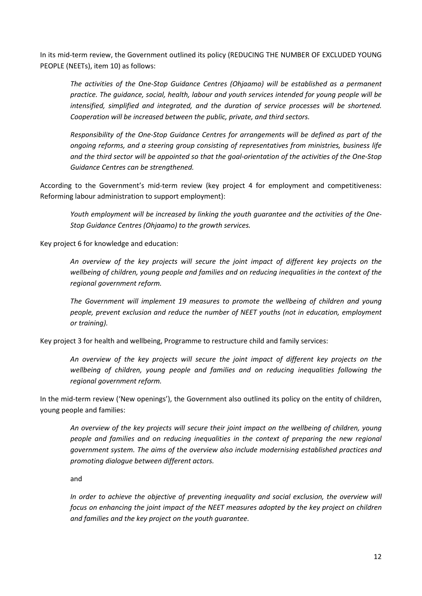In its mid-term review, the Government outlined its policy (REDUCING THE NUMBER OF EXCLUDED YOUNG PEOPLE (NEETs), item 10) as follows:

*The activities of the One-Stop Guidance Centres (Ohjaamo) will be established as a permanent practice. The guidance, social, health, labour and youth services intended for young people will be intensified, simplified and integrated, and the duration of service processes will be shortened. Cooperation will be increased between the public, private, and third sectors.*

*Responsibility of the One-Stop Guidance Centres for arrangements will be defined as part of the ongoing reforms, and a steering group consisting of representatives from ministries, business life and the third sector will be appointed so that the goal-orientation of the activities of the One-Stop Guidance Centres can be strengthened.*

According to the Government's mid-term review (key project 4 for employment and competitiveness: Reforming labour administration to support employment):

*Youth employment will be increased by linking the youth guarantee and the activities of the One-Stop Guidance Centres (Ohjaamo) to the growth services.*

Key project 6 for knowledge and education:

*An overview of the key projects will secure the joint impact of different key projects on the wellbeing of children, young people and families and on reducing inequalities in the context of the regional government reform.*

*The Government will implement 19 measures to promote the wellbeing of children and young people, prevent exclusion and reduce the number of NEET youths (not in education, employment or training).*

Key project 3 for health and wellbeing, Programme to restructure child and family services:

*An overview of the key projects will secure the joint impact of different key projects on the wellbeing of children, young people and families and on reducing inequalities following the regional government reform.*

In the mid-term review ('New openings'), the Government also outlined its policy on the entity of children, young people and families:

*An overview of the key projects will secure their joint impact on the wellbeing of children, young people and families and on reducing inequalities in the context of preparing the new regional government system. The aims of the overview also include modernising established practices and promoting dialogue between different actors.*

and

*In order to achieve the objective of preventing inequality and social exclusion, the overview will focus on enhancing the joint impact of the NEET measures adopted by the key project on children and families and the key project on the youth guarantee.*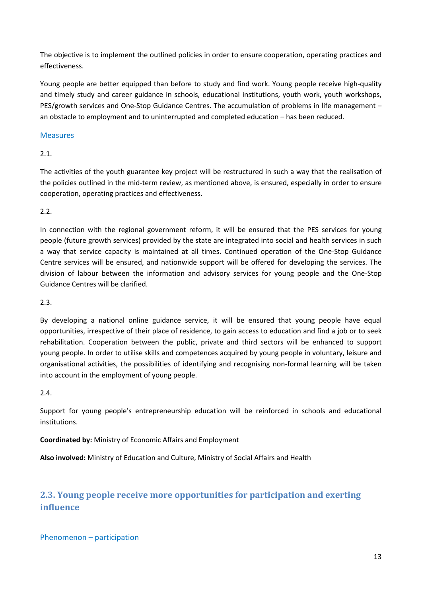The objective is to implement the outlined policies in order to ensure cooperation, operating practices and effectiveness.

Young people are better equipped than before to study and find work. Young people receive high-quality and timely study and career guidance in schools, educational institutions, youth work, youth workshops, PES/growth services and One-Stop Guidance Centres. The accumulation of problems in life management – an obstacle to employment and to uninterrupted and completed education – has been reduced.

## Measures

## 2.1.

The activities of the youth guarantee key project will be restructured in such a way that the realisation of the policies outlined in the mid-term review, as mentioned above, is ensured, especially in order to ensure cooperation, operating practices and effectiveness.

## 2.2.

In connection with the regional government reform, it will be ensured that the PES services for young people (future growth services) provided by the state are integrated into social and health services in such a way that service capacity is maintained at all times. Continued operation of the One-Stop Guidance Centre services will be ensured, and nationwide support will be offered for developing the services. The division of labour between the information and advisory services for young people and the One-Stop Guidance Centres will be clarified.

### 2.3.

By developing a national online guidance service, it will be ensured that young people have equal opportunities, irrespective of their place of residence, to gain access to education and find a job or to seek rehabilitation. Cooperation between the public, private and third sectors will be enhanced to support young people. In order to utilise skills and competences acquired by young people in voluntary, leisure and organisational activities, the possibilities of identifying and recognising non-formal learning will be taken into account in the employment of young people.

### 2.4.

Support for young people's entrepreneurship education will be reinforced in schools and educational institutions.

**Coordinated by:** Ministry of Economic Affairs and Employment

**Also involved:** Ministry of Education and Culture, Ministry of Social Affairs and Health

# <span id="page-12-0"></span>**2.3. Young people receive more opportunities for participation and exerting influence**

Phenomenon – participation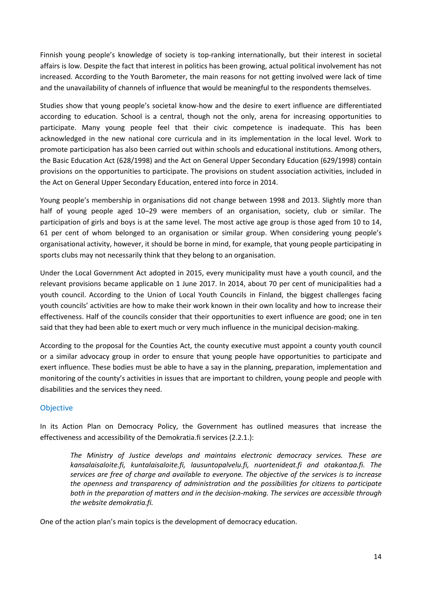Finnish young people's knowledge of society is top-ranking internationally, but their interest in societal affairs is low. Despite the fact that interest in politics has been growing, actual political involvement has not increased. According to the Youth Barometer, the main reasons for not getting involved were lack of time and the unavailability of channels of influence that would be meaningful to the respondents themselves.

Studies show that young people's societal know-how and the desire to exert influence are differentiated according to education. School is a central, though not the only, arena for increasing opportunities to participate. Many young people feel that their civic competence is inadequate. This has been acknowledged in the new national core curricula and in its implementation in the local level. Work to promote participation has also been carried out within schools and educational institutions. Among others, the Basic Education Act (628/1998) and the Act on General Upper Secondary Education (629/1998) contain provisions on the opportunities to participate. The provisions on student association activities, included in the Act on General Upper Secondary Education, entered into force in 2014.

Young people's membership in organisations did not change between 1998 and 2013. Slightly more than half of young people aged 10–29 were members of an organisation, society, club or similar. The participation of girls and boys is at the same level. The most active age group is those aged from 10 to 14, 61 per cent of whom belonged to an organisation or similar group. When considering young people's organisational activity, however, it should be borne in mind, for example, that young people participating in sports clubs may not necessarily think that they belong to an organisation.

Under the Local Government Act adopted in 2015, every municipality must have a youth council, and the relevant provisions became applicable on 1 June 2017. In 2014, about 70 per cent of municipalities had a youth council. According to the Union of Local Youth Councils in Finland, the biggest challenges facing youth councils' activities are how to make their work known in their own locality and how to increase their effectiveness. Half of the councils consider that their opportunities to exert influence are good; one in ten said that they had been able to exert much or very much influence in the municipal decision-making.

According to the proposal for the Counties Act, the county executive must appoint a county youth council or a similar advocacy group in order to ensure that young people have opportunities to participate and exert influence. These bodies must be able to have a say in the planning, preparation, implementation and monitoring of the county's activities in issues that are important to children, young people and people with disabilities and the services they need.

## Objective

In its Action Plan on Democracy Policy, the Government has outlined measures that increase the effectiveness and accessibility of the Demokratia.fi services (2.2.1.):

*The Ministry of Justice develops and maintains electronic democracy services. These are kansalaisaloite.fi, kuntalaisaloite.fi, lausuntopalvelu.fi, nuortenideat.fi and otakantaa.fi. The services are free of charge and available to everyone. The objective of the services is to increase the openness and transparency of administration and the possibilities for citizens to participate both in the preparation of matters and in the decision-making. The services are accessible through the website demokratia.fi.*

One of the action plan's main topics is the development of democracy education.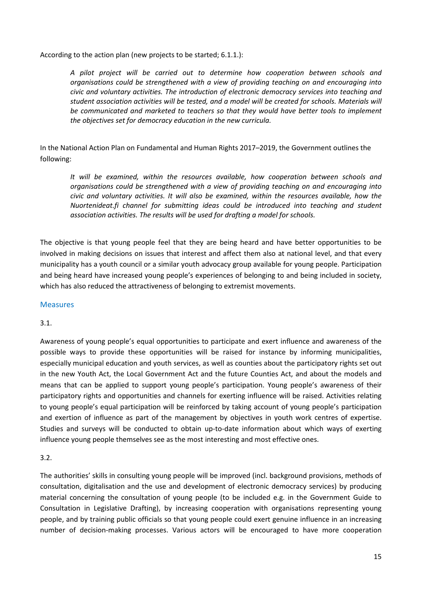According to the action plan (new projects to be started; 6.1.1.):

*A pilot project will be carried out to determine how cooperation between schools and organisations could be strengthened with a view of providing teaching on and encouraging into civic and voluntary activities. The introduction of electronic democracy services into teaching and student association activities will be tested, and a model will be created for schools. Materials will be communicated and marketed to teachers so that they would have better tools to implement the objectives set for democracy education in the new curricula.*

In the National Action Plan on Fundamental and Human Rights 2017–2019, the Government outlines the following:

*It will be examined, within the resources available, how cooperation between schools and organisations could be strengthened with a view of providing teaching on and encouraging into civic and voluntary activities. It will also be examined, within the resources available, how the Nuortenideat.fi channel for submitting ideas could be introduced into teaching and student association activities. The results will be used for drafting a model for schools.*

The objective is that young people feel that they are being heard and have better opportunities to be involved in making decisions on issues that interest and affect them also at national level, and that every municipality has a youth council or a similar youth advocacy group available for young people. Participation and being heard have increased young people's experiences of belonging to and being included in society, which has also reduced the attractiveness of belonging to extremist movements.

### Measures

### 3.1.

Awareness of young people's equal opportunities to participate and exert influence and awareness of the possible ways to provide these opportunities will be raised for instance by informing municipalities, especially municipal education and youth services, as well as counties about the participatory rights set out in the new Youth Act, the Local Government Act and the future Counties Act, and about the models and means that can be applied to support young people's participation. Young people's awareness of their participatory rights and opportunities and channels for exerting influence will be raised. Activities relating to young people's equal participation will be reinforced by taking account of young people's participation and exertion of influence as part of the management by objectives in youth work centres of expertise. Studies and surveys will be conducted to obtain up-to-date information about which ways of exerting influence young people themselves see as the most interesting and most effective ones.

### 3.2.

The authorities' skills in consulting young people will be improved (incl. background provisions, methods of consultation, digitalisation and the use and development of electronic democracy services) by producing material concerning the consultation of young people (to be included e.g. in the Government Guide to Consultation in Legislative Drafting), by increasing cooperation with organisations representing young people, and by training public officials so that young people could exert genuine influence in an increasing number of decision-making processes. Various actors will be encouraged to have more cooperation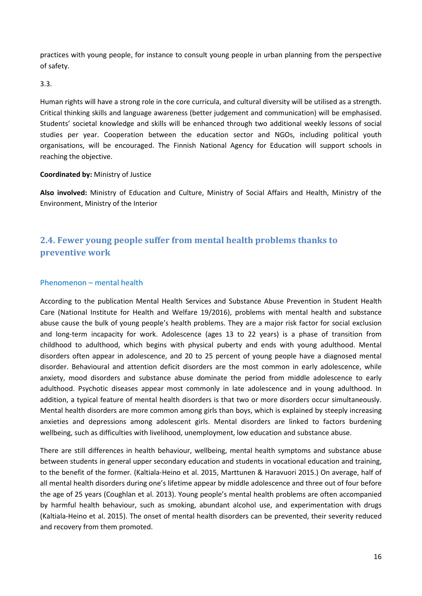practices with young people, for instance to consult young people in urban planning from the perspective of safety.

3.3.

Human rights will have a strong role in the core curricula, and cultural diversity will be utilised as a strength. Critical thinking skills and language awareness (better judgement and communication) will be emphasised. Students' societal knowledge and skills will be enhanced through two additional weekly lessons of social studies per year. Cooperation between the education sector and NGOs, including political youth organisations, will be encouraged. The Finnish National Agency for Education will support schools in reaching the objective.

#### **Coordinated by:** Ministry of Justice

**Also involved:** Ministry of Education and Culture, Ministry of Social Affairs and Health, Ministry of the Environment, Ministry of the Interior

# <span id="page-15-0"></span>**2.4. Fewer young people suffer from mental health problems thanks to preventive work**

### Phenomenon – mental health

According to the publication Mental Health Services and Substance Abuse Prevention in Student Health Care (National Institute for Health and Welfare 19/2016), problems with mental health and substance abuse cause the bulk of young people's health problems. They are a major risk factor for social exclusion and long-term incapacity for work. Adolescence (ages 13 to 22 years) is a phase of transition from childhood to adulthood, which begins with physical puberty and ends with young adulthood. Mental disorders often appear in adolescence, and 20 to 25 percent of young people have a diagnosed mental disorder. Behavioural and attention deficit disorders are the most common in early adolescence, while anxiety, mood disorders and substance abuse dominate the period from middle adolescence to early adulthood. Psychotic diseases appear most commonly in late adolescence and in young adulthood. In addition, a typical feature of mental health disorders is that two or more disorders occur simultaneously. Mental health disorders are more common among girls than boys, which is explained by steeply increasing anxieties and depressions among adolescent girls. Mental disorders are linked to factors burdening wellbeing, such as difficulties with livelihood, unemployment, low education and substance abuse.

There are still differences in health behaviour, wellbeing, mental health symptoms and substance abuse between students in general upper secondary education and students in vocational education and training, to the benefit of the former. (Kaltiala-Heino et al. 2015, Marttunen & Haravuori 2015.) On average, half of all mental health disorders during one's lifetime appear by middle adolescence and three out of four before the age of 25 years (Coughlan et al. 2013). Young people's mental health problems are often accompanied by harmful health behaviour, such as smoking, abundant alcohol use, and experimentation with drugs (Kaltiala-Heino et al. 2015). The onset of mental health disorders can be prevented, their severity reduced and recovery from them promoted.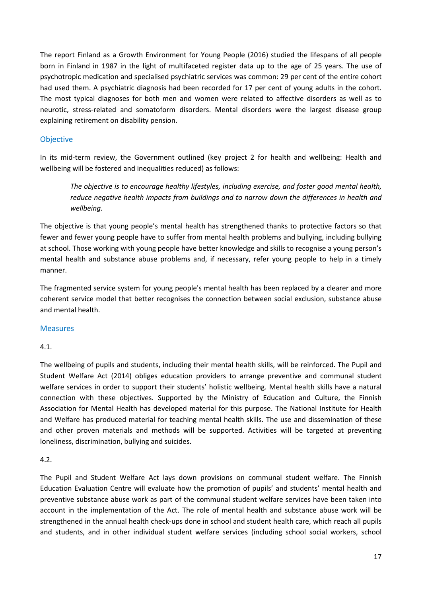The report Finland as a Growth Environment for Young People (2016) studied the lifespans of all people born in Finland in 1987 in the light of multifaceted register data up to the age of 25 years. The use of psychotropic medication and specialised psychiatric services was common: 29 per cent of the entire cohort had used them. A psychiatric diagnosis had been recorded for 17 per cent of young adults in the cohort. The most typical diagnoses for both men and women were related to affective disorders as well as to neurotic, stress-related and somatoform disorders. Mental disorders were the largest disease group explaining retirement on disability pension.

## **Objective**

In its mid-term review, the Government outlined (key project 2 for health and wellbeing: Health and wellbeing will be fostered and inequalities reduced) as follows:

*The objective is to encourage healthy lifestyles, including exercise, and foster good mental health, reduce negative health impacts from buildings and to narrow down the differences in health and wellbeing.*

The objective is that young people's mental health has strengthened thanks to protective factors so that fewer and fewer young people have to suffer from mental health problems and bullying, including bullying at school. Those working with young people have better knowledge and skills to recognise a young person's mental health and substance abuse problems and, if necessary, refer young people to help in a timely manner.

The fragmented service system for young people's mental health has been replaced by a clearer and more coherent service model that better recognises the connection between social exclusion, substance abuse and mental health.

### Measures

### 4.1.

The wellbeing of pupils and students, including their mental health skills, will be reinforced. The Pupil and Student Welfare Act (2014) obliges education providers to arrange preventive and communal student welfare services in order to support their students' holistic wellbeing. Mental health skills have a natural connection with these objectives. Supported by the Ministry of Education and Culture, the Finnish Association for Mental Health has developed material for this purpose. The National Institute for Health and Welfare has produced material for teaching mental health skills. The use and dissemination of these and other proven materials and methods will be supported. Activities will be targeted at preventing loneliness, discrimination, bullying and suicides.

### 4.2.

The Pupil and Student Welfare Act lays down provisions on communal student welfare. The Finnish Education Evaluation Centre will evaluate how the promotion of pupils' and students' mental health and preventive substance abuse work as part of the communal student welfare services have been taken into account in the implementation of the Act. The role of mental health and substance abuse work will be strengthened in the annual health check-ups done in school and student health care, which reach all pupils and students, and in other individual student welfare services (including school social workers, school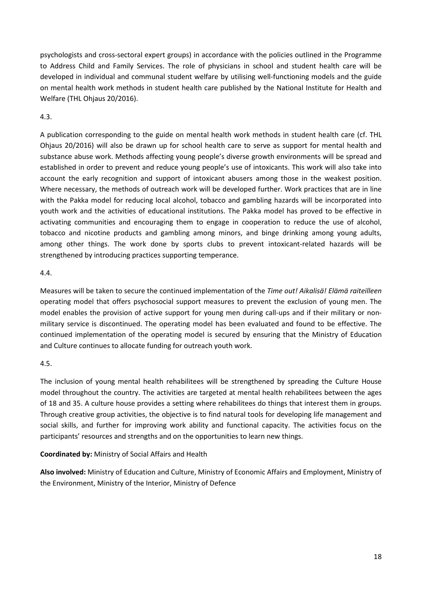psychologists and cross-sectoral expert groups) in accordance with the policies outlined in the Programme to Address Child and Family Services. The role of physicians in school and student health care will be developed in individual and communal student welfare by utilising well-functioning models and the guide on mental health work methods in student health care published by the National Institute for Health and Welfare (THL Ohjaus 20/2016).

### 4.3.

A publication corresponding to the guide on mental health work methods in student health care (cf. THL Ohjaus 20/2016) will also be drawn up for school health care to serve as support for mental health and substance abuse work. Methods affecting young people's diverse growth environments will be spread and established in order to prevent and reduce young people's use of intoxicants. This work will also take into account the early recognition and support of intoxicant abusers among those in the weakest position. Where necessary, the methods of outreach work will be developed further. Work practices that are in line with the Pakka model for reducing local alcohol, tobacco and gambling hazards will be incorporated into youth work and the activities of educational institutions. The Pakka model has proved to be effective in activating communities and encouraging them to engage in cooperation to reduce the use of alcohol, tobacco and nicotine products and gambling among minors, and binge drinking among young adults, among other things. The work done by sports clubs to prevent intoxicant-related hazards will be strengthened by introducing practices supporting temperance.

### 4.4.

Measures will be taken to secure the continued implementation of the *Time out! Aikalisä! Elämä raiteilleen* operating model that offers psychosocial support measures to prevent the exclusion of young men. The model enables the provision of active support for young men during call-ups and if their military or nonmilitary service is discontinued. The operating model has been evaluated and found to be effective. The continued implementation of the operating model is secured by ensuring that the Ministry of Education and Culture continues to allocate funding for outreach youth work.

### 4.5.

The inclusion of young mental health rehabilitees will be strengthened by spreading the Culture House model throughout the country. The activities are targeted at mental health rehabilitees between the ages of 18 and 35. A culture house provides a setting where rehabilitees do things that interest them in groups. Through creative group activities, the objective is to find natural tools for developing life management and social skills, and further for improving work ability and functional capacity. The activities focus on the participants' resources and strengths and on the opportunities to learn new things.

**Coordinated by:** Ministry of Social Affairs and Health

**Also involved:** Ministry of Education and Culture, Ministry of Economic Affairs and Employment, Ministry of the Environment, Ministry of the Interior, Ministry of Defence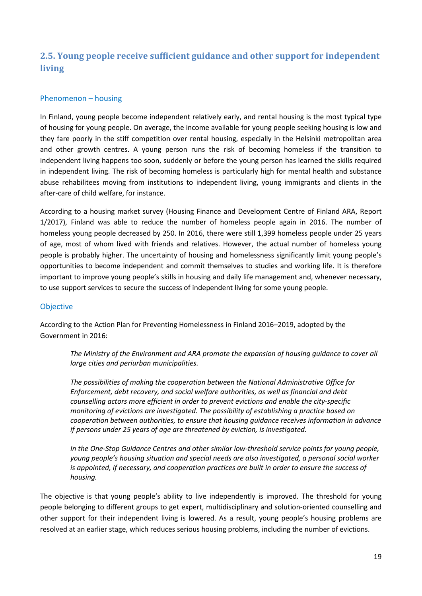# <span id="page-18-0"></span>**2.5. Young people receive sufficient guidance and other support for independent living**

### Phenomenon – housing

In Finland, young people become independent relatively early, and rental housing is the most typical type of housing for young people. On average, the income available for young people seeking housing is low and they fare poorly in the stiff competition over rental housing, especially in the Helsinki metropolitan area and other growth centres. A young person runs the risk of becoming homeless if the transition to independent living happens too soon, suddenly or before the young person has learned the skills required in independent living. The risk of becoming homeless is particularly high for mental health and substance abuse rehabilitees moving from institutions to independent living, young immigrants and clients in the after-care of child welfare, for instance.

According to a housing market survey (Housing Finance and Development Centre of Finland ARA, Report 1/2017), Finland was able to reduce the number of homeless people again in 2016. The number of homeless young people decreased by 250. In 2016, there were still 1,399 homeless people under 25 years of age, most of whom lived with friends and relatives. However, the actual number of homeless young people is probably higher. The uncertainty of housing and homelessness significantly limit young people's opportunities to become independent and commit themselves to studies and working life. It is therefore important to improve young people's skills in housing and daily life management and, whenever necessary, to use support services to secure the success of independent living for some young people.

#### **Objective**

According to the Action Plan for Preventing Homelessness in Finland 2016–2019, adopted by the Government in 2016:

*The Ministry of the Environment and ARA promote the expansion of housing guidance to cover all large cities and periurban municipalities.*

*The possibilities of making the cooperation between the National Administrative Office for Enforcement, debt recovery, and social welfare authorities, as well as financial and debt counselling actors more efficient in order to prevent evictions and enable the city-specific monitoring of evictions are investigated. The possibility of establishing a practice based on cooperation between authorities, to ensure that housing guidance receives information in advance if persons under 25 years of age are threatened by eviction, is investigated.*

*In the One-Stop Guidance Centres and other similar low-threshold service points for young people, young people's housing situation and special needs are also investigated, a personal social worker is appointed, if necessary, and cooperation practices are built in order to ensure the success of housing.*

The objective is that young people's ability to live independently is improved. The threshold for young people belonging to different groups to get expert, multidisciplinary and solution-oriented counselling and other support for their independent living is lowered. As a result, young people's housing problems are resolved at an earlier stage, which reduces serious housing problems, including the number of evictions.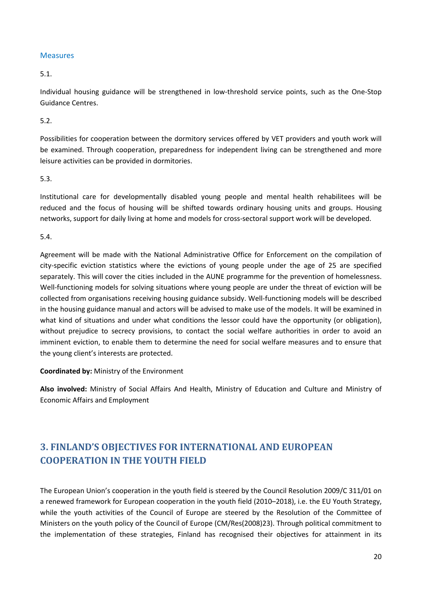### **Measures**

### 5.1.

Individual housing guidance will be strengthened in low-threshold service points, such as the One-Stop Guidance Centres.

### 5.2.

Possibilities for cooperation between the dormitory services offered by VET providers and youth work will be examined. Through cooperation, preparedness for independent living can be strengthened and more leisure activities can be provided in dormitories.

### 5.3.

Institutional care for developmentally disabled young people and mental health rehabilitees will be reduced and the focus of housing will be shifted towards ordinary housing units and groups. Housing networks, support for daily living at home and models for cross-sectoral support work will be developed.

### 5.4.

Agreement will be made with the National Administrative Office for Enforcement on the compilation of city-specific eviction statistics where the evictions of young people under the age of 25 are specified separately. This will cover the cities included in the AUNE programme for the prevention of homelessness. Well-functioning models for solving situations where young people are under the threat of eviction will be collected from organisations receiving housing guidance subsidy. Well-functioning models will be described in the housing guidance manual and actors will be advised to make use of the models. It will be examined in what kind of situations and under what conditions the lessor could have the opportunity (or obligation), without prejudice to secrecy provisions, to contact the social welfare authorities in order to avoid an imminent eviction, to enable them to determine the need for social welfare measures and to ensure that the young client's interests are protected.

**Coordinated by:** Ministry of the Environment

**Also involved:** Ministry of Social Affairs And Health, Ministry of Education and Culture and Ministry of Economic Affairs and Employment

# <span id="page-19-0"></span>**3. FINLAND'S OBJECTIVES FOR INTERNATIONAL AND EUROPEAN COOPERATION IN THE YOUTH FIELD**

The European Union's cooperation in the youth field is steered by the Council Resolution 2009/C 311/01 on a renewed framework for European cooperation in the youth field (2010–2018), i.e. the EU Youth Strategy, while the youth activities of the Council of Europe are steered by the Resolution of the Committee of Ministers on the youth policy of the Council of Europe (CM/Res(2008)23). Through political commitment to the implementation of these strategies, Finland has recognised their objectives for attainment in its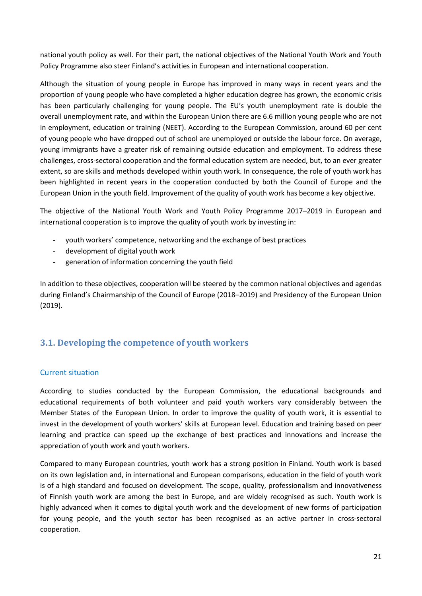national youth policy as well. For their part, the national objectives of the National Youth Work and Youth Policy Programme also steer Finland's activities in European and international cooperation.

Although the situation of young people in Europe has improved in many ways in recent years and the proportion of young people who have completed a higher education degree has grown, the economic crisis has been particularly challenging for young people. The EU's youth unemployment rate is double the overall unemployment rate, and within the European Union there are 6.6 million young people who are not in employment, education or training (NEET). According to the European Commission, around 60 per cent of young people who have dropped out of school are unemployed or outside the labour force. On average, young immigrants have a greater risk of remaining outside education and employment. To address these challenges, cross-sectoral cooperation and the formal education system are needed, but, to an ever greater extent, so are skills and methods developed within youth work. In consequence, the role of youth work has been highlighted in recent years in the cooperation conducted by both the Council of Europe and the European Union in the youth field. Improvement of the quality of youth work has become a key objective.

The objective of the National Youth Work and Youth Policy Programme 2017–2019 in European and international cooperation is to improve the quality of youth work by investing in:

- youth workers' competence, networking and the exchange of best practices
- development of digital youth work
- generation of information concerning the youth field

In addition to these objectives, cooperation will be steered by the common national objectives and agendas during Finland's Chairmanship of the Council of Europe (2018–2019) and Presidency of the European Union (2019).

# <span id="page-20-0"></span>**3.1. Developing the competence of youth workers**

### Current situation

According to studies conducted by the European Commission, the educational backgrounds and educational requirements of both volunteer and paid youth workers vary considerably between the Member States of the European Union. In order to improve the quality of youth work, it is essential to invest in the development of youth workers' skills at European level. Education and training based on peer learning and practice can speed up the exchange of best practices and innovations and increase the appreciation of youth work and youth workers.

Compared to many European countries, youth work has a strong position in Finland. Youth work is based on its own legislation and, in international and European comparisons, education in the field of youth work is of a high standard and focused on development. The scope, quality, professionalism and innovativeness of Finnish youth work are among the best in Europe, and are widely recognised as such. Youth work is highly advanced when it comes to digital youth work and the development of new forms of participation for young people, and the youth sector has been recognised as an active partner in cross-sectoral cooperation.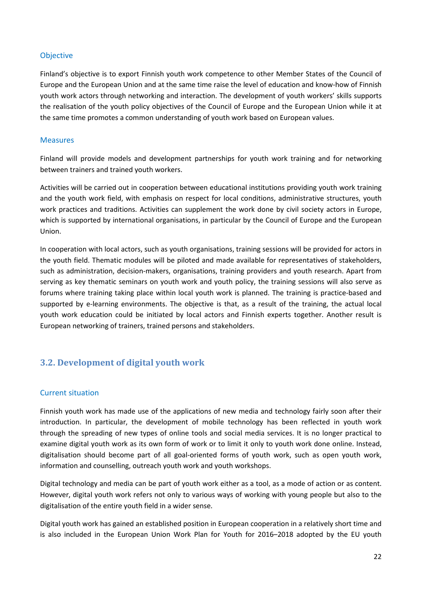#### **Objective**

Finland's objective is to export Finnish youth work competence to other Member States of the Council of Europe and the European Union and at the same time raise the level of education and know-how of Finnish youth work actors through networking and interaction. The development of youth workers' skills supports the realisation of the youth policy objectives of the Council of Europe and the European Union while it at the same time promotes a common understanding of youth work based on European values.

#### Measures

Finland will provide models and development partnerships for youth work training and for networking between trainers and trained youth workers.

Activities will be carried out in cooperation between educational institutions providing youth work training and the youth work field, with emphasis on respect for local conditions, administrative structures, youth work practices and traditions. Activities can supplement the work done by civil society actors in Europe, which is supported by international organisations, in particular by the Council of Europe and the European Union.

In cooperation with local actors, such as youth organisations, training sessions will be provided for actors in the youth field. Thematic modules will be piloted and made available for representatives of stakeholders, such as administration, decision-makers, organisations, training providers and youth research. Apart from serving as key thematic seminars on youth work and youth policy, the training sessions will also serve as forums where training taking place within local youth work is planned. The training is practice-based and supported by e-learning environments. The objective is that, as a result of the training, the actual local youth work education could be initiated by local actors and Finnish experts together. Another result is European networking of trainers, trained persons and stakeholders.

# <span id="page-21-0"></span>**3.2. Development of digital youth work**

### Current situation

Finnish youth work has made use of the applications of new media and technology fairly soon after their introduction. In particular, the development of mobile technology has been reflected in youth work through the spreading of new types of online tools and social media services. It is no longer practical to examine digital youth work as its own form of work or to limit it only to youth work done online. Instead, digitalisation should become part of all goal-oriented forms of youth work, such as open youth work, information and counselling, outreach youth work and youth workshops.

Digital technology and media can be part of youth work either as a tool, as a mode of action or as content. However, digital youth work refers not only to various ways of working with young people but also to the digitalisation of the entire youth field in a wider sense.

Digital youth work has gained an established position in European cooperation in a relatively short time and is also included in the European Union Work Plan for Youth for 2016–2018 adopted by the EU youth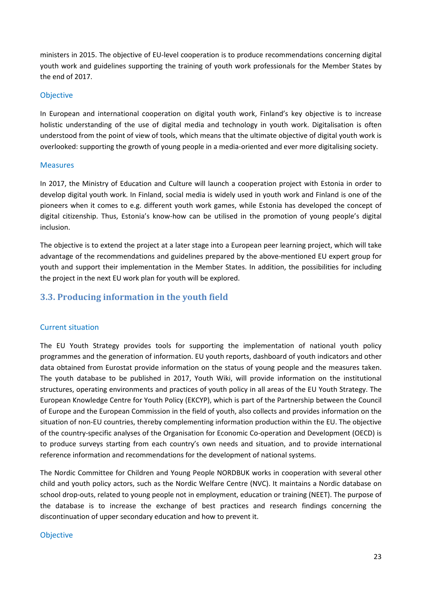ministers in 2015. The objective of EU-level cooperation is to produce recommendations concerning digital youth work and guidelines supporting the training of youth work professionals for the Member States by the end of 2017.

#### **Objective**

In European and international cooperation on digital youth work, Finland's key objective is to increase holistic understanding of the use of digital media and technology in youth work. Digitalisation is often understood from the point of view of tools, which means that the ultimate objective of digital youth work is overlooked: supporting the growth of young people in a media-oriented and ever more digitalising society.

#### Measures

In 2017, the Ministry of Education and Culture will launch a cooperation project with Estonia in order to develop digital youth work. In Finland, social media is widely used in youth work and Finland is one of the pioneers when it comes to e.g. different youth work games, while Estonia has developed the concept of digital citizenship. Thus, Estonia's know-how can be utilised in the promotion of young people's digital inclusion.

The objective is to extend the project at a later stage into a European peer learning project, which will take advantage of the recommendations and guidelines prepared by the above-mentioned EU expert group for youth and support their implementation in the Member States. In addition, the possibilities for including the project in the next EU work plan for youth will be explored.

# <span id="page-22-0"></span>**3.3. Producing information in the youth field**

### Current situation

The EU Youth Strategy provides tools for supporting the implementation of national youth policy programmes and the generation of information. EU youth reports, dashboard of youth indicators and other data obtained from Eurostat provide information on the status of young people and the measures taken. The youth database to be published in 2017, Youth Wiki, will provide information on the institutional structures, operating environments and practices of youth policy in all areas of the EU Youth Strategy. The European Knowledge Centre for Youth Policy (EKCYP), which is part of the Partnership between the Council of Europe and the European Commission in the field of youth, also collects and provides information on the situation of non-EU countries, thereby complementing information production within the EU. The objective of the country-specific analyses of the Organisation for Economic Co-operation and Development (OECD) is to produce surveys starting from each country's own needs and situation, and to provide international reference information and recommendations for the development of national systems.

The Nordic Committee for Children and Young People NORDBUK works in cooperation with several other child and youth policy actors, such as the Nordic Welfare Centre (NVC). It maintains a Nordic database on school drop-outs, related to young people not in employment, education or training (NEET). The purpose of the database is to increase the exchange of best practices and research findings concerning the discontinuation of upper secondary education and how to prevent it.

#### Objective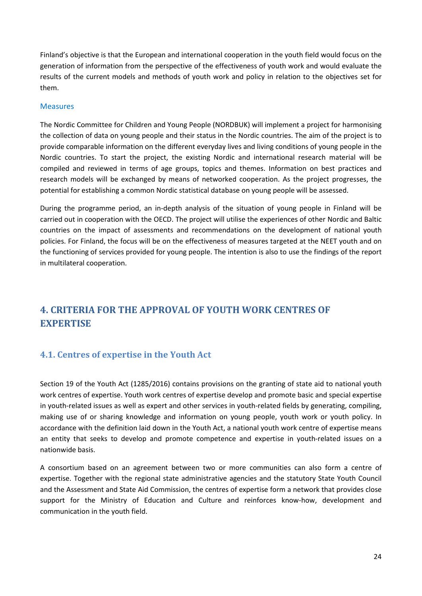Finland's objective is that the European and international cooperation in the youth field would focus on the generation of information from the perspective of the effectiveness of youth work and would evaluate the results of the current models and methods of youth work and policy in relation to the objectives set for them.

#### Measures

The Nordic Committee for Children and Young People (NORDBUK) will implement a project for harmonising the collection of data on young people and their status in the Nordic countries. The aim of the project is to provide comparable information on the different everyday lives and living conditions of young people in the Nordic countries. To start the project, the existing Nordic and international research material will be compiled and reviewed in terms of age groups, topics and themes. Information on best practices and research models will be exchanged by means of networked cooperation. As the project progresses, the potential for establishing a common Nordic statistical database on young people will be assessed.

During the programme period, an in-depth analysis of the situation of young people in Finland will be carried out in cooperation with the OECD. The project will utilise the experiences of other Nordic and Baltic countries on the impact of assessments and recommendations on the development of national youth policies. For Finland, the focus will be on the effectiveness of measures targeted at the NEET youth and on the functioning of services provided for young people. The intention is also to use the findings of the report in multilateral cooperation.

# <span id="page-23-0"></span>**4. CRITERIA FOR THE APPROVAL OF YOUTH WORK CENTRES OF EXPERTISE**

# <span id="page-23-1"></span>**4.1. Centres of expertise in the Youth Act**

Section 19 of the Youth Act (1285/2016) contains provisions on the granting of state aid to national youth work centres of expertise. Youth work centres of expertise develop and promote basic and special expertise in youth-related issues as well as expert and other services in youth-related fields by generating, compiling, making use of or sharing knowledge and information on young people, youth work or youth policy. In accordance with the definition laid down in the Youth Act, a national youth work centre of expertise means an entity that seeks to develop and promote competence and expertise in youth-related issues on a nationwide basis.

A consortium based on an agreement between two or more communities can also form a centre of expertise. Together with the regional state administrative agencies and the statutory State Youth Council and the Assessment and State Aid Commission, the centres of expertise form a network that provides close support for the Ministry of Education and Culture and reinforces know-how, development and communication in the youth field.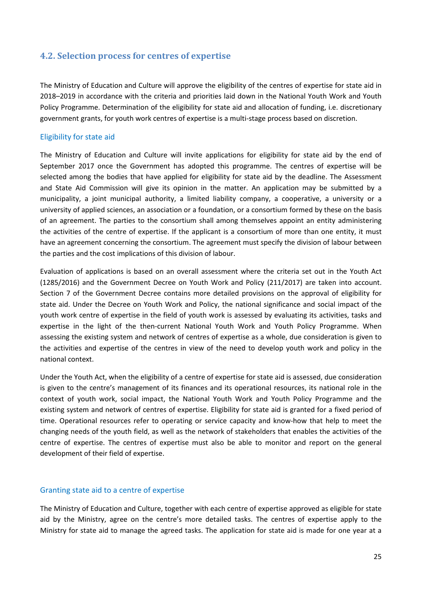## <span id="page-24-0"></span>**4.2. Selection process for centres of expertise**

The Ministry of Education and Culture will approve the eligibility of the centres of expertise for state aid in 2018–2019 in accordance with the criteria and priorities laid down in the National Youth Work and Youth Policy Programme. Determination of the eligibility for state aid and allocation of funding, i.e. discretionary government grants, for youth work centres of expertise is a multi-stage process based on discretion.

### Eligibility for state aid

The Ministry of Education and Culture will invite applications for eligibility for state aid by the end of September 2017 once the Government has adopted this programme. The centres of expertise will be selected among the bodies that have applied for eligibility for state aid by the deadline. The Assessment and State Aid Commission will give its opinion in the matter. An application may be submitted by a municipality, a joint municipal authority, a limited liability company, a cooperative, a university or a university of applied sciences, an association or a foundation, or a consortium formed by these on the basis of an agreement. The parties to the consortium shall among themselves appoint an entity administering the activities of the centre of expertise. If the applicant is a consortium of more than one entity, it must have an agreement concerning the consortium. The agreement must specify the division of labour between the parties and the cost implications of this division of labour.

Evaluation of applications is based on an overall assessment where the criteria set out in the Youth Act (1285/2016) and the Government Decree on Youth Work and Policy (211/2017) are taken into account. Section 7 of the Government Decree contains more detailed provisions on the approval of eligibility for state aid. Under the Decree on Youth Work and Policy, the national significance and social impact of the youth work centre of expertise in the field of youth work is assessed by evaluating its activities, tasks and expertise in the light of the then-current National Youth Work and Youth Policy Programme. When assessing the existing system and network of centres of expertise as a whole, due consideration is given to the activities and expertise of the centres in view of the need to develop youth work and policy in the national context.

Under the Youth Act, when the eligibility of a centre of expertise for state aid is assessed, due consideration is given to the centre's management of its finances and its operational resources, its national role in the context of youth work, social impact, the National Youth Work and Youth Policy Programme and the existing system and network of centres of expertise. Eligibility for state aid is granted for a fixed period of time. Operational resources refer to operating or service capacity and know-how that help to meet the changing needs of the youth field, as well as the network of stakeholders that enables the activities of the centre of expertise. The centres of expertise must also be able to monitor and report on the general development of their field of expertise.

### Granting state aid to a centre of expertise

The Ministry of Education and Culture, together with each centre of expertise approved as eligible for state aid by the Ministry, agree on the centre's more detailed tasks. The centres of expertise apply to the Ministry for state aid to manage the agreed tasks. The application for state aid is made for one year at a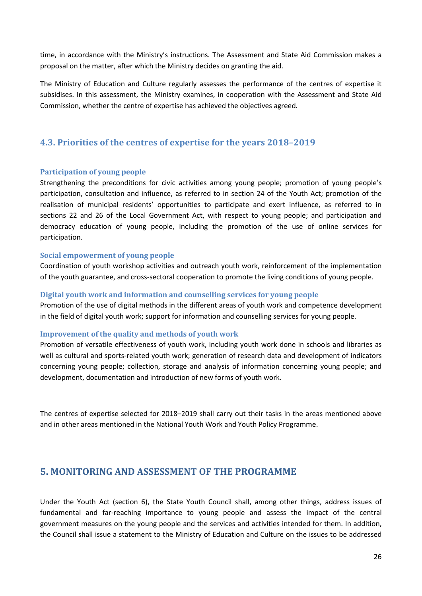time, in accordance with the Ministry's instructions. The Assessment and State Aid Commission makes a proposal on the matter, after which the Ministry decides on granting the aid.

The Ministry of Education and Culture regularly assesses the performance of the centres of expertise it subsidises. In this assessment, the Ministry examines, in cooperation with the Assessment and State Aid Commission, whether the centre of expertise has achieved the objectives agreed.

# <span id="page-25-0"></span>**4.3. Priorities of the centres of expertise for the years 2018–2019**

#### <span id="page-25-1"></span>**Participation of young people**

Strengthening the preconditions for civic activities among young people; promotion of young people's participation, consultation and influence, as referred to in section 24 of the Youth Act; promotion of the realisation of municipal residents' opportunities to participate and exert influence, as referred to in sections 22 and 26 of the Local Government Act, with respect to young people; and participation and democracy education of young people, including the promotion of the use of online services for participation.

#### <span id="page-25-2"></span>**Social empowerment of young people**

Coordination of youth workshop activities and outreach youth work, reinforcement of the implementation of the youth guarantee, and cross-sectoral cooperation to promote the living conditions of young people.

#### <span id="page-25-3"></span>**Digital youth work and information and counselling services for young people**

Promotion of the use of digital methods in the different areas of youth work and competence development in the field of digital youth work; support for information and counselling services for young people.

#### <span id="page-25-4"></span>**Improvement of the quality and methods of youth work**

Promotion of versatile effectiveness of youth work, including youth work done in schools and libraries as well as cultural and sports-related youth work; generation of research data and development of indicators concerning young people; collection, storage and analysis of information concerning young people; and development, documentation and introduction of new forms of youth work.

The centres of expertise selected for 2018–2019 shall carry out their tasks in the areas mentioned above and in other areas mentioned in the National Youth Work and Youth Policy Programme.

# <span id="page-25-5"></span>**5. MONITORING AND ASSESSMENT OF THE PROGRAMME**

Under the Youth Act (section 6), the State Youth Council shall, among other things, address issues of fundamental and far-reaching importance to young people and assess the impact of the central government measures on the young people and the services and activities intended for them. In addition, the Council shall issue a statement to the Ministry of Education and Culture on the issues to be addressed